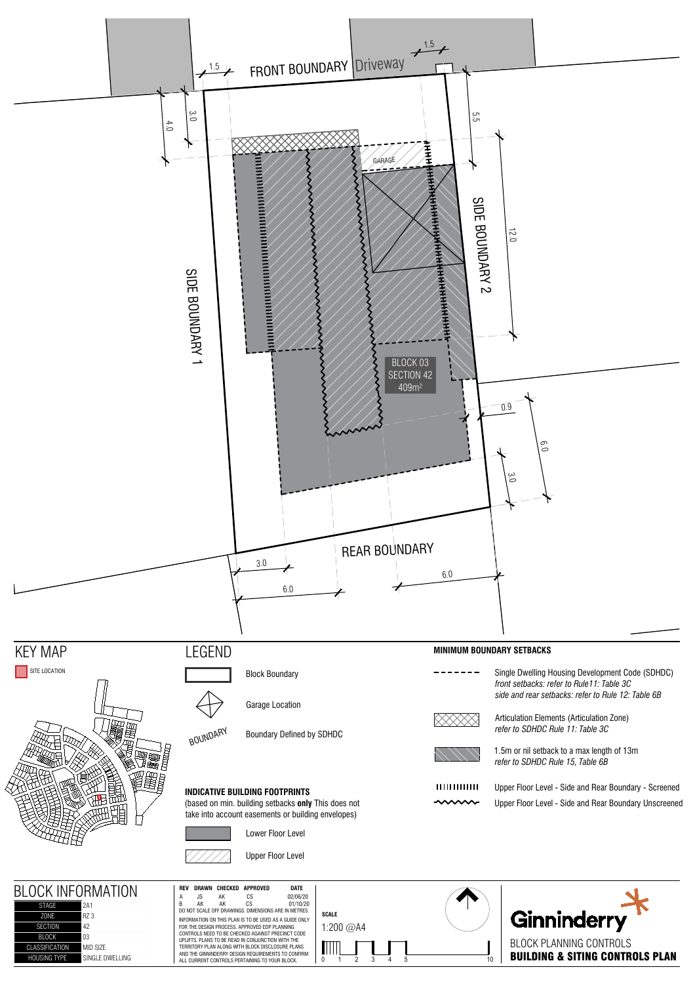